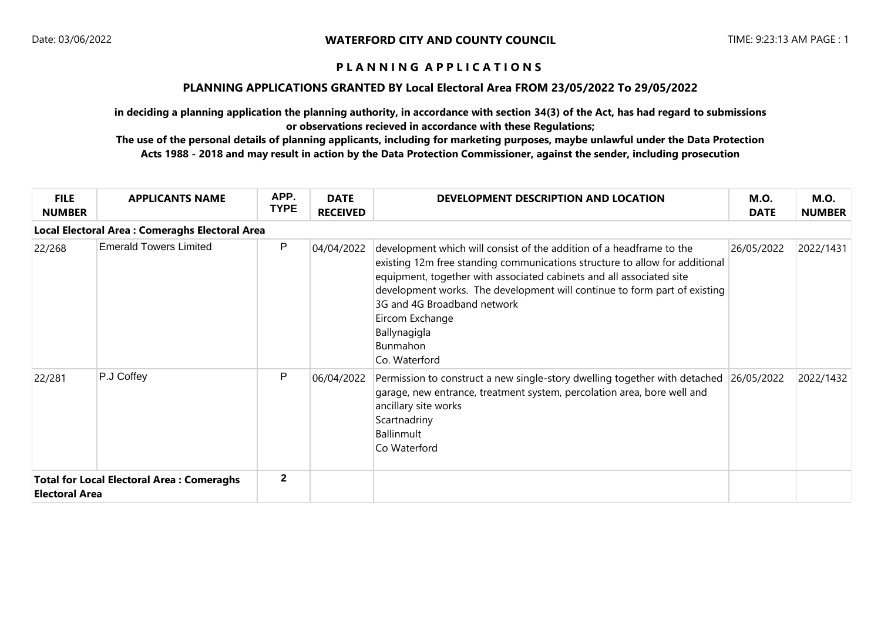#### **PLANNING APPLICATIONS GRANTED BY Local Electoral Area FROM 23/05/2022 To 29/05/2022**

**in deciding a planning application the planning authority, in accordance with section 34(3) of the Act, has had regard to submissions or observations recieved in accordance with these Regulations;**

| <b>FILE</b><br><b>NUMBER</b>                                              | <b>APPLICANTS NAME</b>                          | APP.<br><b>TYPE</b> | <b>DATE</b><br><b>RECEIVED</b> | DEVELOPMENT DESCRIPTION AND LOCATION                                                                                                                                                                                                                                                                                                                                                                    | <b>M.O.</b><br><b>DATE</b> | <b>M.O.</b><br><b>NUMBER</b> |
|---------------------------------------------------------------------------|-------------------------------------------------|---------------------|--------------------------------|---------------------------------------------------------------------------------------------------------------------------------------------------------------------------------------------------------------------------------------------------------------------------------------------------------------------------------------------------------------------------------------------------------|----------------------------|------------------------------|
|                                                                           | Local Electoral Area : Comeraghs Electoral Area |                     |                                |                                                                                                                                                                                                                                                                                                                                                                                                         |                            |                              |
| 22/268                                                                    | <b>Emerald Towers Limited</b>                   | P                   | 04/04/2022                     | development which will consist of the addition of a headframe to the<br>existing 12m free standing communications structure to allow for additional<br>equipment, together with associated cabinets and all associated site<br>development works. The development will continue to form part of existing<br>3G and 4G Broadband network<br>Eircom Exchange<br>Ballynagigla<br>Bunmahon<br>Co. Waterford | 26/05/2022                 | 2022/1431                    |
| 22/281                                                                    | P.J Coffey                                      | P                   | 06/04/2022                     | Permission to construct a new single-story dwelling together with detached<br>garage, new entrance, treatment system, percolation area, bore well and<br>ancillary site works<br>Scartnadriny<br><b>Ballinmult</b><br>Co Waterford                                                                                                                                                                      | 26/05/2022                 | 2022/1432                    |
| <b>Total for Local Electoral Area: Comeraghs</b><br><b>Electoral Area</b> |                                                 | $\mathbf{2}$        |                                |                                                                                                                                                                                                                                                                                                                                                                                                         |                            |                              |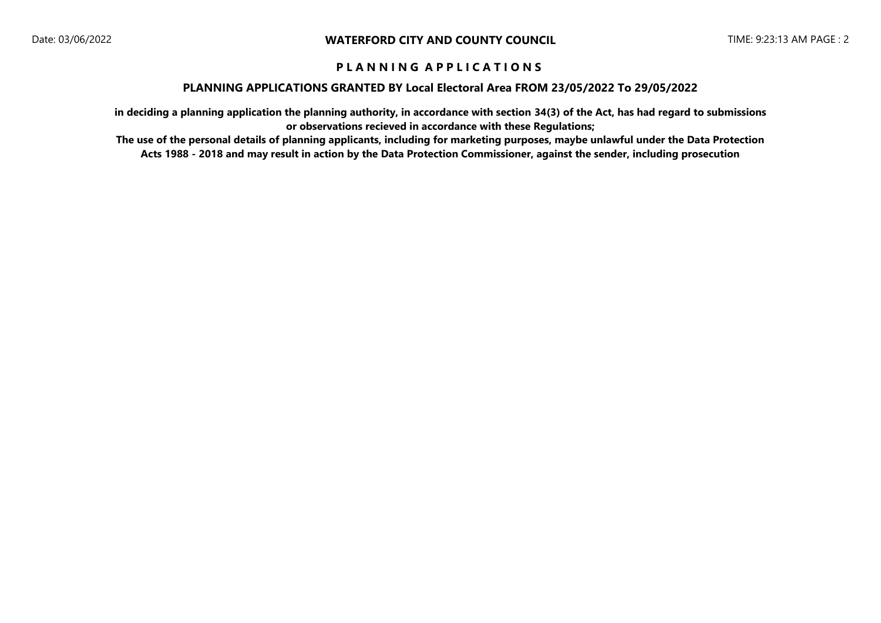#### **PLANNING APPLICATIONS GRANTED BY Local Electoral Area FROM 23/05/2022 To 29/05/2022**

**in deciding a planning application the planning authority, in accordance with section 34(3) of the Act, has had regard to submissions or observations recieved in accordance with these Regulations;**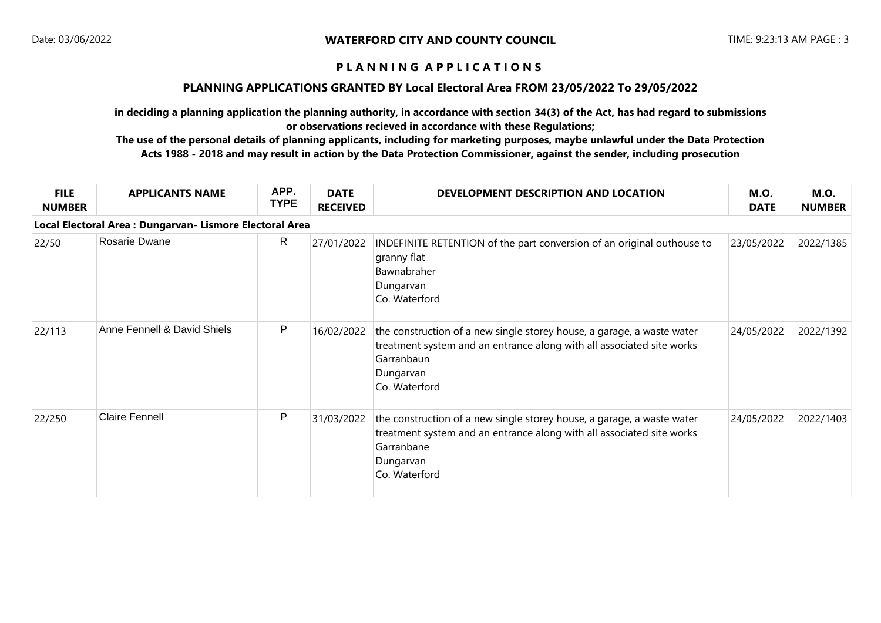#### **PLANNING APPLICATIONS GRANTED BY Local Electoral Area FROM 23/05/2022 To 29/05/2022**

**in deciding a planning application the planning authority, in accordance with section 34(3) of the Act, has had regard to submissions or observations recieved in accordance with these Regulations;**

| <b>FILE</b><br><b>NUMBER</b> | <b>APPLICANTS NAME</b>                                   | APP.<br><b>TYPE</b> | <b>DATE</b><br><b>RECEIVED</b> | DEVELOPMENT DESCRIPTION AND LOCATION                                                                                                                                                        | <b>M.O.</b><br><b>DATE</b> | <b>M.O.</b><br><b>NUMBER</b> |
|------------------------------|----------------------------------------------------------|---------------------|--------------------------------|---------------------------------------------------------------------------------------------------------------------------------------------------------------------------------------------|----------------------------|------------------------------|
|                              | Local Electoral Area : Dungarvan- Lismore Electoral Area |                     |                                |                                                                                                                                                                                             |                            |                              |
| 22/50                        | Rosarie Dwane                                            | R.                  | 27/01/2022                     | INDEFINITE RETENTION of the part conversion of an original outhouse to<br>granny flat<br>Bawnabraher<br>Dungarvan<br>Co. Waterford                                                          | 23/05/2022                 | 2022/1385                    |
| 22/113                       | Anne Fennell & David Shiels                              | P                   | 16/02/2022                     | the construction of a new single storey house, a garage, a waste water<br>treatment system and an entrance along with all associated site works<br>Garranbaun<br>Dungarvan<br>Co. Waterford | 24/05/2022                 | 2022/1392                    |
| 22/250                       | <b>Claire Fennell</b>                                    | P                   | 31/03/2022                     | the construction of a new single storey house, a garage, a waste water<br>treatment system and an entrance along with all associated site works<br>Garranbane<br>Dungarvan<br>Co. Waterford | 24/05/2022                 | 2022/1403                    |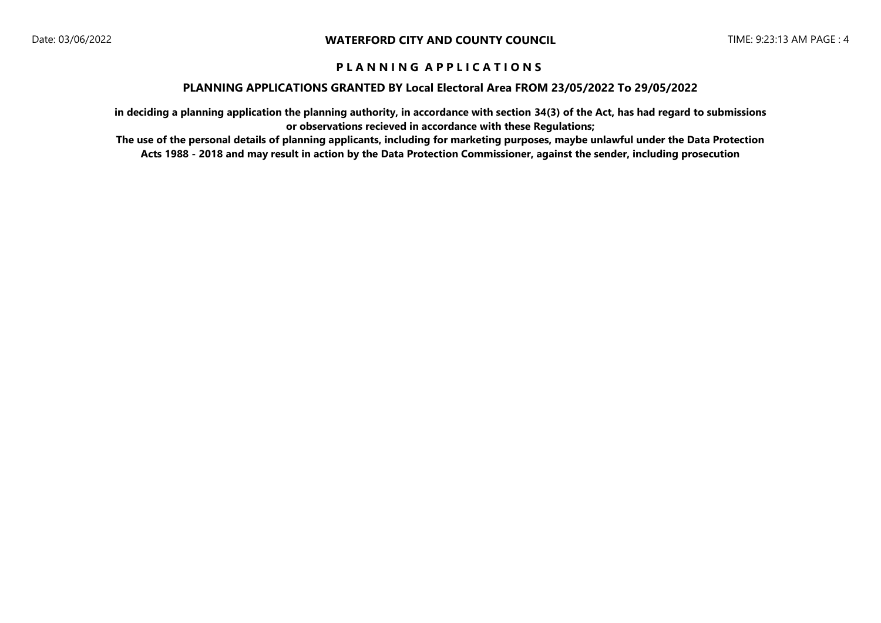#### **PLANNING APPLICATIONS GRANTED BY Local Electoral Area FROM 23/05/2022 To 29/05/2022**

**in deciding a planning application the planning authority, in accordance with section 34(3) of the Act, has had regard to submissions or observations recieved in accordance with these Regulations;**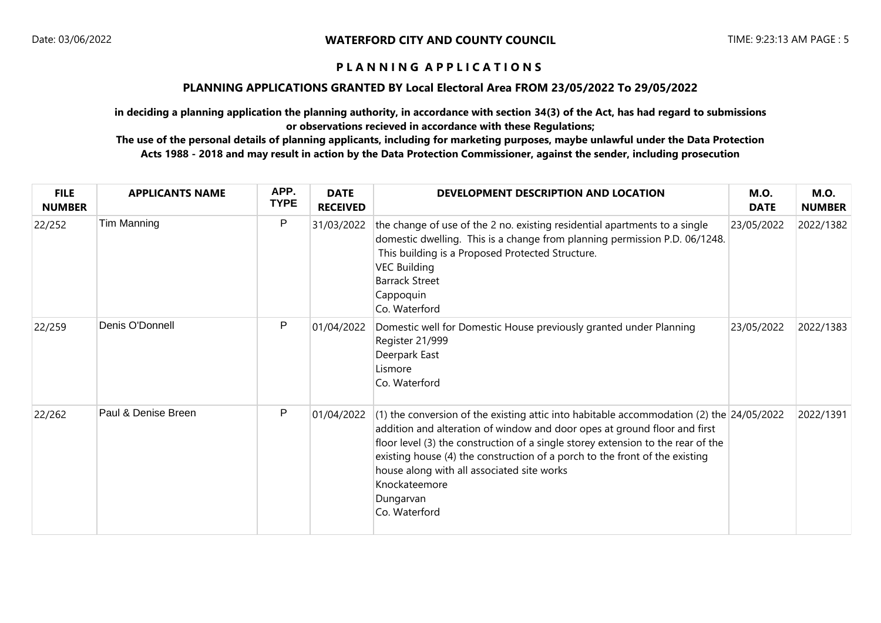### **PLANNING APPLICATIONS GRANTED BY Local Electoral Area FROM 23/05/2022 To 29/05/2022**

**in deciding a planning application the planning authority, in accordance with section 34(3) of the Act, has had regard to submissions or observations recieved in accordance with these Regulations;**

| <b>FILE</b><br><b>NUMBER</b> | <b>APPLICANTS NAME</b> | APP.<br><b>TYPE</b> | <b>DATE</b><br><b>RECEIVED</b> | DEVELOPMENT DESCRIPTION AND LOCATION                                                                                                                                                                                                                                                                                                                                                                                                    | <b>M.O.</b><br><b>DATE</b> | <b>M.O.</b><br><b>NUMBER</b> |
|------------------------------|------------------------|---------------------|--------------------------------|-----------------------------------------------------------------------------------------------------------------------------------------------------------------------------------------------------------------------------------------------------------------------------------------------------------------------------------------------------------------------------------------------------------------------------------------|----------------------------|------------------------------|
| 22/252                       | Tim Manning            | P                   | 31/03/2022                     | the change of use of the 2 no. existing residential apartments to a single<br>domestic dwelling. This is a change from planning permission P.D. 06/1248.<br>This building is a Proposed Protected Structure.<br><b>VEC Building</b><br><b>Barrack Street</b><br>Cappoquin<br>Co. Waterford                                                                                                                                              | 23/05/2022                 | 2022/1382                    |
| 22/259                       | Denis O'Donnell        | P                   | 01/04/2022                     | Domestic well for Domestic House previously granted under Planning<br>Register 21/999<br>Deerpark East<br>Lismore<br>Co. Waterford                                                                                                                                                                                                                                                                                                      | 23/05/2022                 | 2022/1383                    |
| 22/262                       | Paul & Denise Breen    | P                   | 01/04/2022                     | (1) the conversion of the existing attic into habitable accommodation (2) the $24/05/2022$<br>addition and alteration of window and door opes at ground floor and first<br>floor level (3) the construction of a single storey extension to the rear of the<br>existing house (4) the construction of a porch to the front of the existing<br>house along with all associated site works<br>Knockateemore<br>Dungarvan<br>Co. Waterford |                            | 2022/1391                    |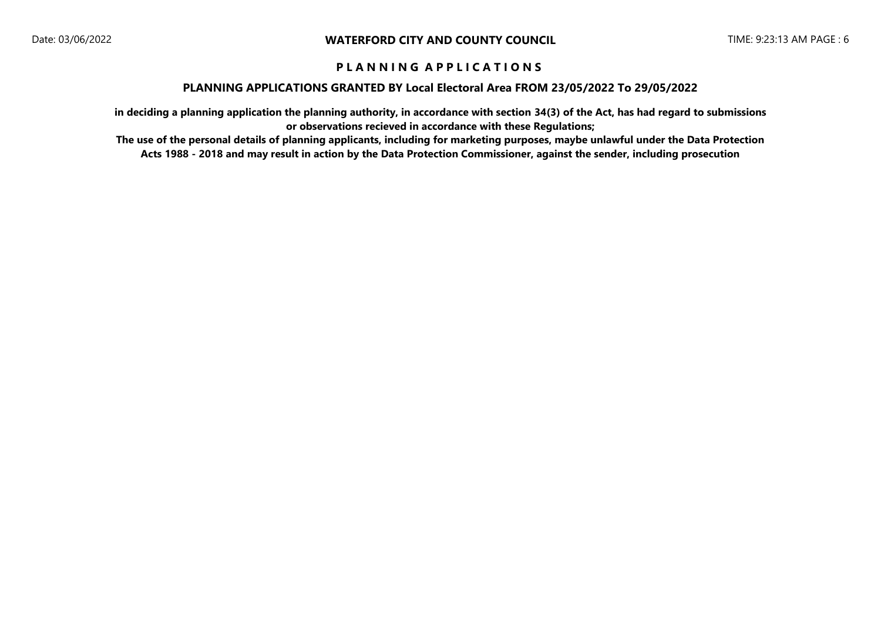#### **PLANNING APPLICATIONS GRANTED BY Local Electoral Area FROM 23/05/2022 To 29/05/2022**

**in deciding a planning application the planning authority, in accordance with section 34(3) of the Act, has had regard to submissions or observations recieved in accordance with these Regulations;**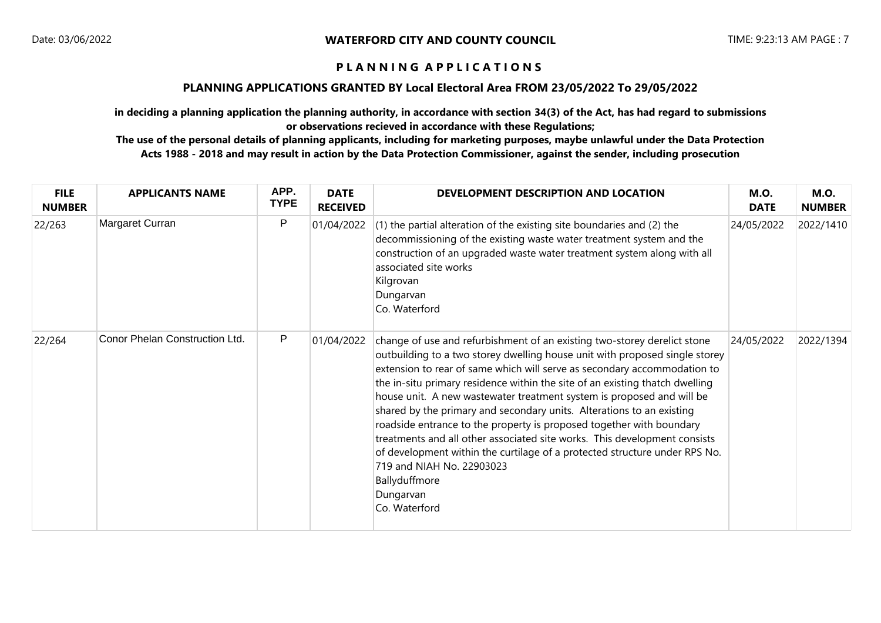### **PLANNING APPLICATIONS GRANTED BY Local Electoral Area FROM 23/05/2022 To 29/05/2022**

**in deciding a planning application the planning authority, in accordance with section 34(3) of the Act, has had regard to submissions or observations recieved in accordance with these Regulations;**

| <b>FILE</b><br><b>NUMBER</b> | <b>APPLICANTS NAME</b>         | APP.<br><b>TYPE</b> | <b>DATE</b><br><b>RECEIVED</b> | DEVELOPMENT DESCRIPTION AND LOCATION                                                                                                                                                                                                                                                                                                                                                                                                                                                                                                                                                                                                                                                                                                                                                 | <b>M.O.</b><br><b>DATE</b> | <b>M.O.</b><br><b>NUMBER</b> |
|------------------------------|--------------------------------|---------------------|--------------------------------|--------------------------------------------------------------------------------------------------------------------------------------------------------------------------------------------------------------------------------------------------------------------------------------------------------------------------------------------------------------------------------------------------------------------------------------------------------------------------------------------------------------------------------------------------------------------------------------------------------------------------------------------------------------------------------------------------------------------------------------------------------------------------------------|----------------------------|------------------------------|
| 22/263                       | Margaret Curran                | P                   | 01/04/2022                     | $(1)$ the partial alteration of the existing site boundaries and $(2)$ the<br>decommissioning of the existing waste water treatment system and the<br>construction of an upgraded waste water treatment system along with all<br>associated site works<br>Kilgrovan<br>Dungarvan<br>Co. Waterford                                                                                                                                                                                                                                                                                                                                                                                                                                                                                    | 24/05/2022                 | 2022/1410                    |
| 22/264                       | Conor Phelan Construction Ltd. | P                   | 01/04/2022                     | change of use and refurbishment of an existing two-storey derelict stone<br>outbuilding to a two storey dwelling house unit with proposed single storey<br>extension to rear of same which will serve as secondary accommodation to<br>the in-situ primary residence within the site of an existing thatch dwelling<br>house unit. A new wastewater treatment system is proposed and will be<br>shared by the primary and secondary units. Alterations to an existing<br>roadside entrance to the property is proposed together with boundary<br>treatments and all other associated site works. This development consists<br>of development within the curtilage of a protected structure under RPS No.<br>719 and NIAH No. 22903023<br>Ballyduffmore<br>Dungarvan<br>Co. Waterford | 24/05/2022                 | 2022/1394                    |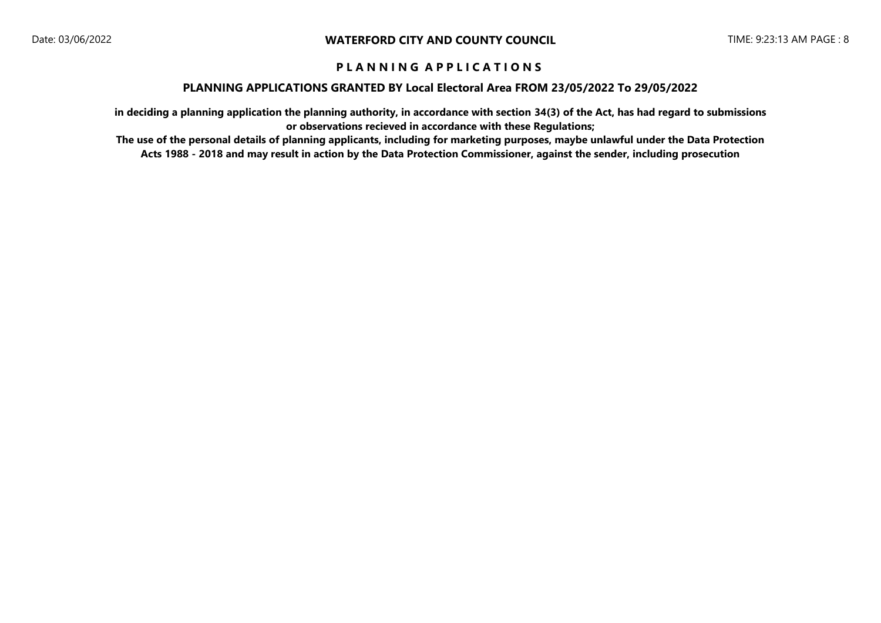#### **PLANNING APPLICATIONS GRANTED BY Local Electoral Area FROM 23/05/2022 To 29/05/2022**

**in deciding a planning application the planning authority, in accordance with section 34(3) of the Act, has had regard to submissions or observations recieved in accordance with these Regulations;**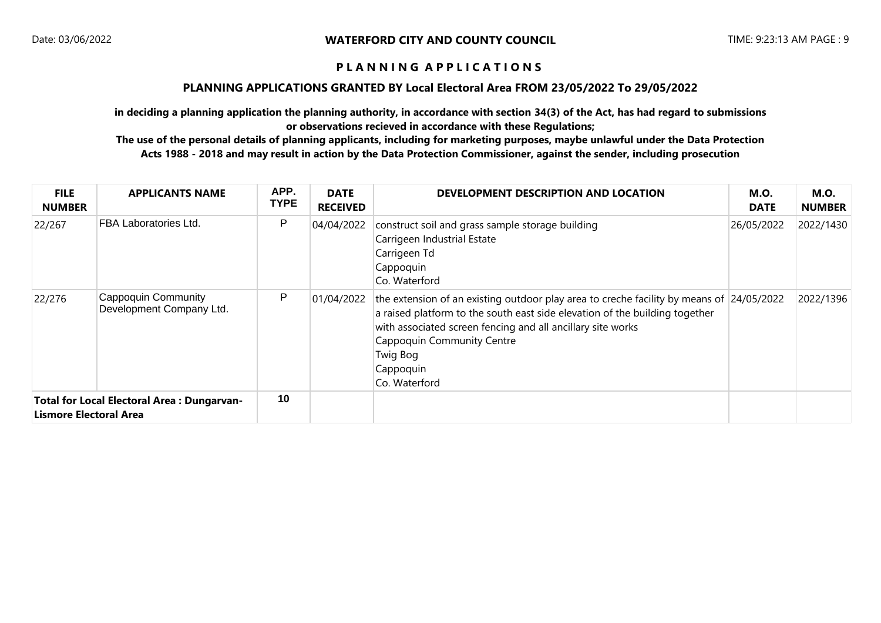#### **PLANNING APPLICATIONS GRANTED BY Local Electoral Area FROM 23/05/2022 To 29/05/2022**

**in deciding a planning application the planning authority, in accordance with section 34(3) of the Act, has had regard to submissions or observations recieved in accordance with these Regulations;**

| <b>FILE</b><br><b>NUMBER</b>                                                | <b>APPLICANTS NAME</b>                          | APP.<br><b>TYPE</b> | <b>DATE</b><br><b>RECEIVED</b> | DEVELOPMENT DESCRIPTION AND LOCATION                                                                                                                                                                                                                                                                           | <b>M.O.</b><br><b>DATE</b> | <b>M.O.</b><br><b>NUMBER</b> |
|-----------------------------------------------------------------------------|-------------------------------------------------|---------------------|--------------------------------|----------------------------------------------------------------------------------------------------------------------------------------------------------------------------------------------------------------------------------------------------------------------------------------------------------------|----------------------------|------------------------------|
| 22/267                                                                      | FBA Laboratories Ltd.                           | P                   | 04/04/2022                     | construct soil and grass sample storage building<br>Carrigeen Industrial Estate<br>Carrigeen Td<br>Cappoquin<br>Co. Waterford                                                                                                                                                                                  | 26/05/2022                 | 2022/1430                    |
| 22/276                                                                      | Cappoquin Community<br>Development Company Ltd. | P                   | 01/04/2022                     | the extension of an existing outdoor play area to creche facility by means of 24/05/2022<br>a raised platform to the south east side elevation of the building together<br>with associated screen fencing and all ancillary site works<br>Cappoquin Community Centre<br>Twig Bog<br>Cappoquin<br>Co. Waterford |                            | 2022/1396                    |
| Total for Local Electoral Area: Dungarvan-<br><b>Lismore Electoral Area</b> |                                                 | 10                  |                                |                                                                                                                                                                                                                                                                                                                |                            |                              |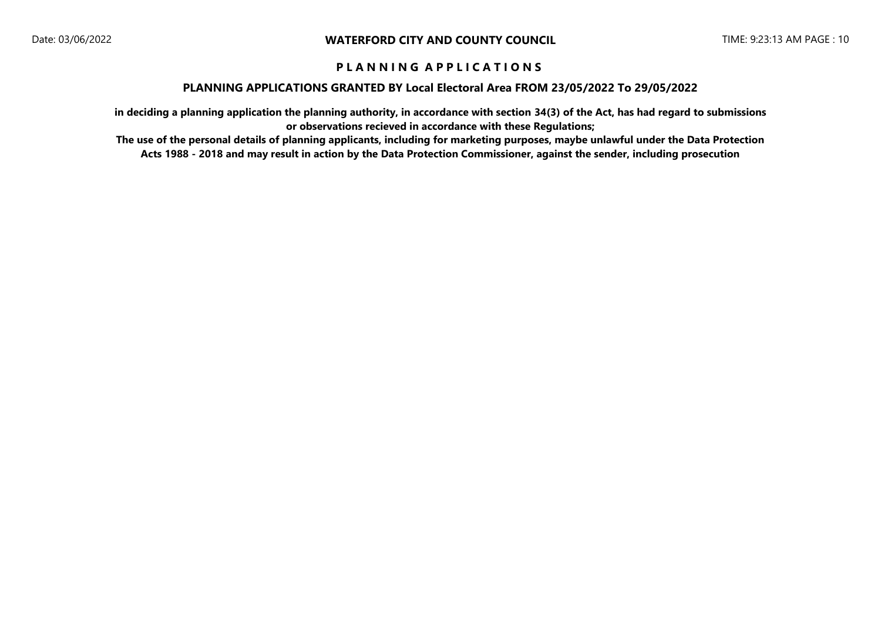#### **PLANNING APPLICATIONS GRANTED BY Local Electoral Area FROM 23/05/2022 To 29/05/2022**

**in deciding a planning application the planning authority, in accordance with section 34(3) of the Act, has had regard to submissions or observations recieved in accordance with these Regulations;**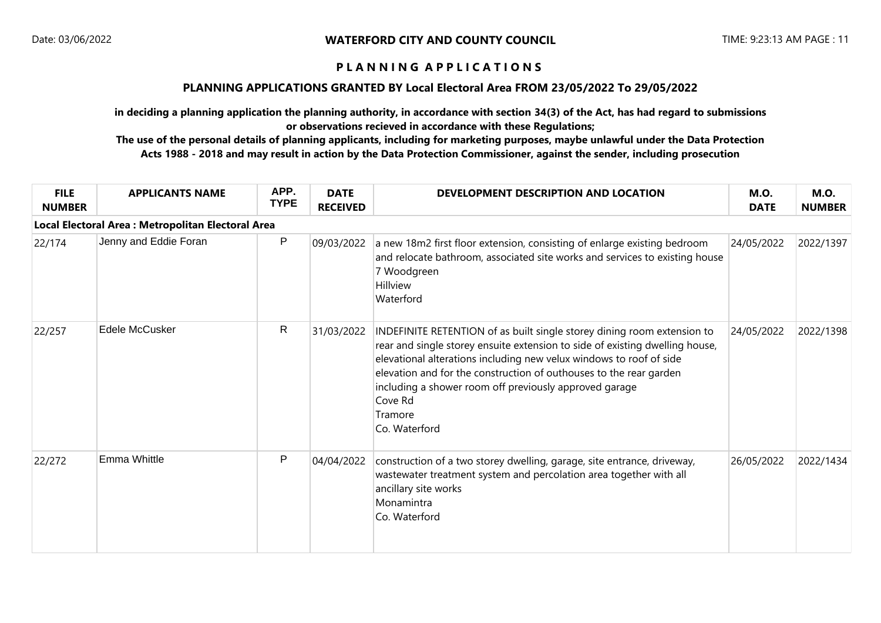### **PLANNING APPLICATIONS GRANTED BY Local Electoral Area FROM 23/05/2022 To 29/05/2022**

**in deciding a planning application the planning authority, in accordance with section 34(3) of the Act, has had regard to submissions or observations recieved in accordance with these Regulations;**

| <b>FILE</b><br><b>NUMBER</b> | <b>APPLICANTS NAME</b>                            | APP.<br><b>TYPE</b> | <b>DATE</b><br><b>RECEIVED</b> | DEVELOPMENT DESCRIPTION AND LOCATION                                                                                                                                                                                                                                                                                                                                                                  | <b>M.O.</b><br><b>DATE</b> | <b>M.O.</b><br><b>NUMBER</b> |
|------------------------------|---------------------------------------------------|---------------------|--------------------------------|-------------------------------------------------------------------------------------------------------------------------------------------------------------------------------------------------------------------------------------------------------------------------------------------------------------------------------------------------------------------------------------------------------|----------------------------|------------------------------|
|                              | Local Electoral Area: Metropolitan Electoral Area |                     |                                |                                                                                                                                                                                                                                                                                                                                                                                                       |                            |                              |
| 22/174                       | Jenny and Eddie Foran                             | P                   | 09/03/2022                     | a new 18m2 first floor extension, consisting of enlarge existing bedroom<br>and relocate bathroom, associated site works and services to existing house<br>7 Woodgreen<br>Hillview<br>Waterford                                                                                                                                                                                                       | 24/05/2022                 | 2022/1397                    |
| 22/257                       | Edele McCusker                                    | R                   | 31/03/2022                     | INDEFINITE RETENTION of as built single storey dining room extension to<br>rear and single storey ensuite extension to side of existing dwelling house,<br>elevational alterations including new velux windows to roof of side<br>elevation and for the construction of outhouses to the rear garden<br>including a shower room off previously approved garage<br>Cove Rd<br>Tramore<br>Co. Waterford | 24/05/2022                 | 2022/1398                    |
| 22/272                       | Emma Whittle                                      | P                   | 04/04/2022                     | construction of a two storey dwelling, garage, site entrance, driveway,<br>wastewater treatment system and percolation area together with all<br>ancillary site works<br>Monamintra<br>Co. Waterford                                                                                                                                                                                                  | 26/05/2022                 | 2022/1434                    |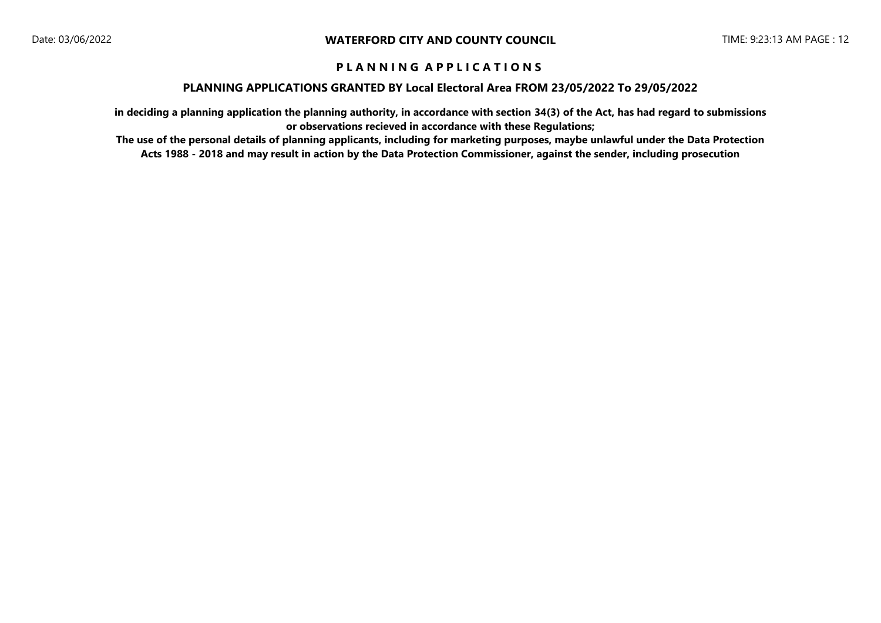#### **PLANNING APPLICATIONS GRANTED BY Local Electoral Area FROM 23/05/2022 To 29/05/2022**

**in deciding a planning application the planning authority, in accordance with section 34(3) of the Act, has had regard to submissions or observations recieved in accordance with these Regulations;**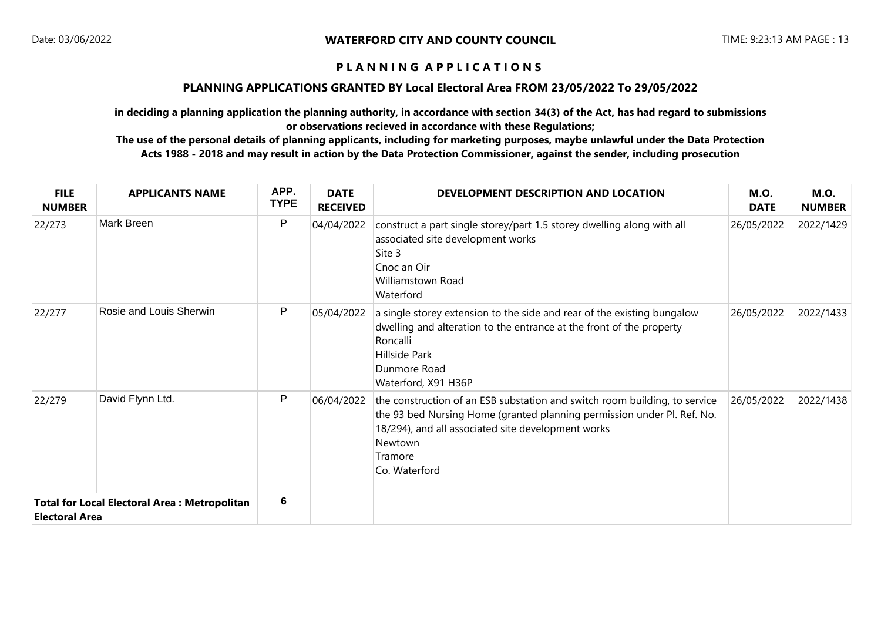### **PLANNING APPLICATIONS GRANTED BY Local Electoral Area FROM 23/05/2022 To 29/05/2022**

**in deciding a planning application the planning authority, in accordance with section 34(3) of the Act, has had regard to submissions or observations recieved in accordance with these Regulations;**

| <b>FILE</b><br><b>NUMBER</b>                                                 | <b>APPLICANTS NAME</b>  | APP.<br><b>TYPE</b> | <b>DATE</b><br><b>RECEIVED</b> | DEVELOPMENT DESCRIPTION AND LOCATION                                                                                                                                                                                                               | <b>M.O.</b><br><b>DATE</b> | <b>M.O.</b><br><b>NUMBER</b> |
|------------------------------------------------------------------------------|-------------------------|---------------------|--------------------------------|----------------------------------------------------------------------------------------------------------------------------------------------------------------------------------------------------------------------------------------------------|----------------------------|------------------------------|
| 22/273                                                                       | Mark Breen              | P                   | 04/04/2022                     | construct a part single storey/part 1.5 storey dwelling along with all<br>associated site development works<br>Site 3<br>Cnoc an Oir<br>Williamstown Road<br>Waterford                                                                             | 26/05/2022                 | 2022/1429                    |
| 22/277                                                                       | Rosie and Louis Sherwin | P                   | 05/04/2022                     | a single storey extension to the side and rear of the existing bungalow<br>dwelling and alteration to the entrance at the front of the property<br>Roncalli<br>Hillside Park<br>Dunmore Road<br>Waterford, X91 H36P                                | 26/05/2022                 | 2022/1433                    |
| 22/279                                                                       | David Flynn Ltd.        | P                   | 06/04/2022                     | the construction of an ESB substation and switch room building, to service<br>the 93 bed Nursing Home (granted planning permission under Pl. Ref. No.<br>18/294), and all associated site development works<br>Newtown<br>Tramore<br>Co. Waterford | 26/05/2022                 | 2022/1438                    |
| <b>Total for Local Electoral Area: Metropolitan</b><br><b>Electoral Area</b> |                         | 6                   |                                |                                                                                                                                                                                                                                                    |                            |                              |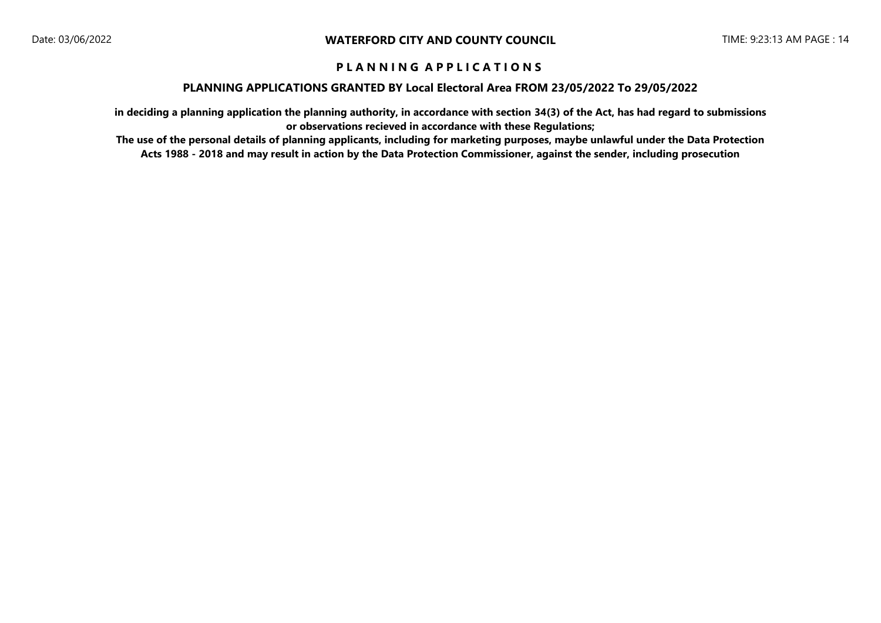#### **PLANNING APPLICATIONS GRANTED BY Local Electoral Area FROM 23/05/2022 To 29/05/2022**

**in deciding a planning application the planning authority, in accordance with section 34(3) of the Act, has had regard to submissions or observations recieved in accordance with these Regulations;**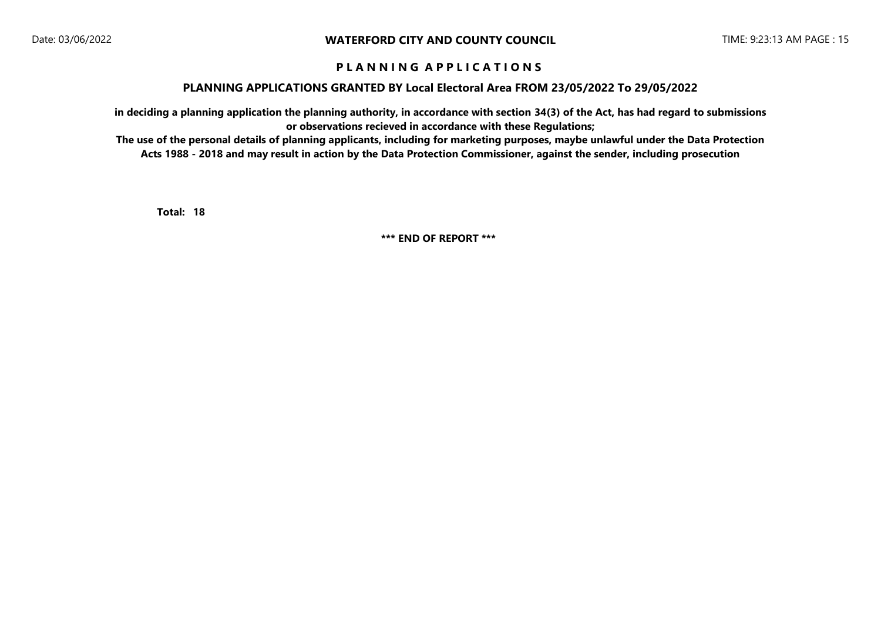#### **PLANNING APPLICATIONS GRANTED BY Local Electoral Area FROM 23/05/2022 To 29/05/2022**

**in deciding a planning application the planning authority, in accordance with section 34(3) of the Act, has had regard to submissions or observations recieved in accordance with these Regulations;**

**The use of the personal details of planning applicants, including for marketing purposes, maybe unlawful under the Data Protection Acts 1988 - 2018 and may result in action by the Data Protection Commissioner, against the sender, including prosecution**

**18 Total:** 

**\*\*\* END OF REPORT \*\*\***